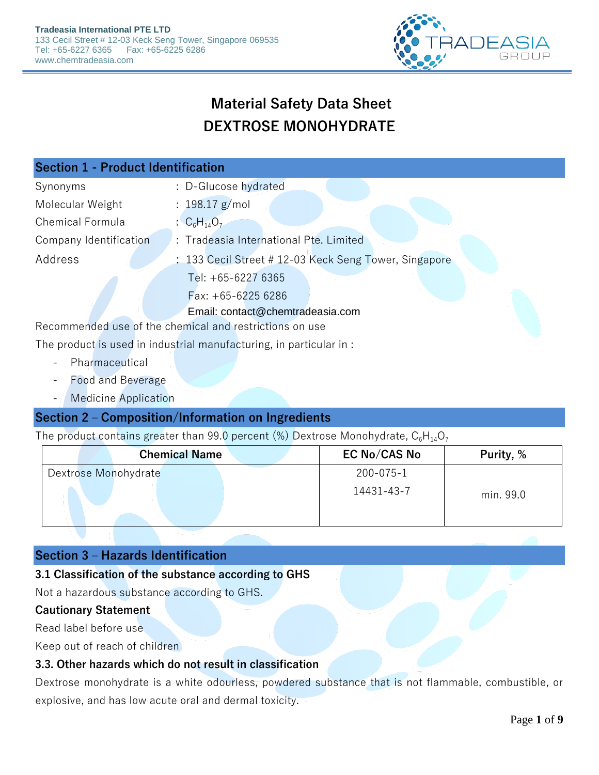

# **Material Safety Data Sheet DEXTROSE MONOHYDRATE**

| <b>Section 1 - Product Identification</b>               |                                                       |  |
|---------------------------------------------------------|-------------------------------------------------------|--|
| Synonyms                                                | : D-Glucose hydrated                                  |  |
| Molecular Weight                                        | : $198.17$ g/mol                                      |  |
| <b>Chemical Formula</b>                                 | : $C_6H_{14}O_7$                                      |  |
| Company Identification                                  | : Tradeasia International Pte. Limited                |  |
| Address                                                 | : 133 Cecil Street # 12-03 Keck Seng Tower, Singapore |  |
|                                                         | Tel: $+65-62276365$                                   |  |
|                                                         | Fax: $+65-62256286$                                   |  |
|                                                         | Email: contact@chemtradeasia.com                      |  |
| Recommended use of the chemical and restrictions on use |                                                       |  |

The product is used in industrial manufacturing, in particular in :

- Pharmaceutical
- Food and Beverage
- Medicine Application

### **Section 2 – Composition/Information on Ingredients**

The product contains greater than 99.0 percent (%) Dextrose Monohydrate,  $C_6H_{14}O_7$ 

| <b>Chemical Name</b> | EC No/CAS No | Purity, % |
|----------------------|--------------|-----------|
| Dextrose Monohydrate | 200-075-1    |           |
|                      | 14431-43-7   | min. 99.0 |

### **Section 3 – Hazards Identification**

#### **3.1 Classification of the substance according to GHS**

Not a hazardous substance according to GHS.

#### **Cautionary Statement**

Read label before use

Keep out of reach of children

#### **3.3. Other hazards which do not result in classification**

Dextrose monohydrate is a white odourless, powdered substance that is not flammable, combustible, or explosive, and has low acute oral and dermal toxicity.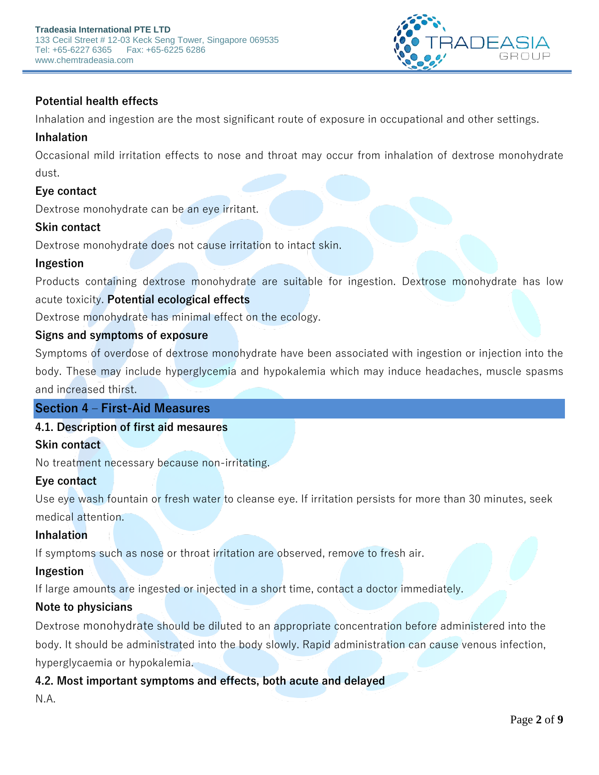

### **Potential health effects**

Inhalation and ingestion are the most significant route of exposure in occupational and other settings.

### **Inhalation**

Occasional mild irritation effects to nose and throat may occur from inhalation of dextrose monohydrate dust.

### **Eye contact**

Dextrose monohydrate can be an eye irritant.

### **Skin contact**

Dextrose monohydrate does not cause irritation to intact skin.

### **Ingestion**

Products containing dextrose monohydrate are suitable for ingestion. Dextrose monohydrate has low acute toxicity. **Potential ecological effects**

Dextrose monohydrate has minimal effect on the ecology.

### **Signs and symptoms of exposure**

Symptoms of overdose of dextrose monohydrate have been associated with ingestion or injection into the body. These may include hyperglycemia and hypokalemia which may induce headaches, muscle spasms and increased thirst.

### **Section 4 – First-Aid Measures**

### **4.1. Description of first aid mesaures**

#### **Skin contact**

No treatment necessary because non-irritating.

### **Eye contact**

Use eye wash fountain or fresh water to cleanse eye. If irritation persists for more than 30 minutes, seek medical attention.

### **Inhalation**

If symptoms such as nose or throat irritation are observed, remove to fresh air.

#### **Ingestion**

If large amounts are ingested or injected in a short time, contact a doctor immediately.

### **Note to physicians**

Dextrose monohydrate should be diluted to an appropriate concentration before administered into the body. It should be administrated into the body slowly. Rapid administration can cause venous infection, hyperglycaemia or hypokalemia.

### **4.2. Most important symptoms and effects, both acute and delayed**

N.A.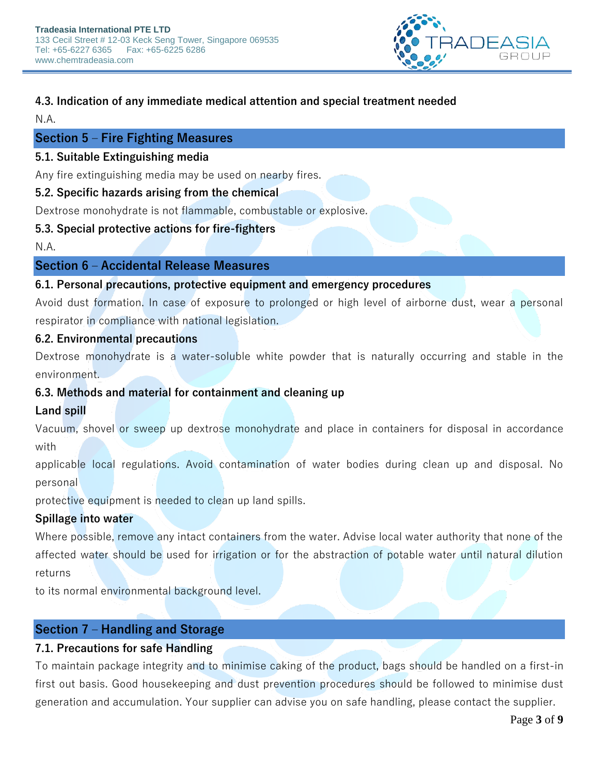

### **4.3. Indication of any immediate medical attention and special treatment needed**

N.A.

### **Section 5 – Fire Fighting Measures**

### **5.1. Suitable Extinguishing media**

Any fire extinguishing media may be used on nearby fires.

### **5.2. Specific hazards arising from the chemical**

Dextrose monohydrate is not flammable, combustable or explosive.

### **5.3. Special protective actions for fire-fighters**

N.A.

### **Section 6 – Accidental Release Measures**

### **6.1. Personal precautions, protective equipment and emergency procedures**

Avoid dust formation. In case of exposure to prolonged or high level of airborne dust, wear a personal respirator in compliance with national legislation.

### **6.2. Environmental precautions**

Dextrose monohydrate is a water-soluble white powder that is naturally occurring and stable in the environment.

### **6.3. Methods and material for containment and cleaning up**

### **Land spill**

Vacuum, shovel or sweep up dextrose monohydrate and place in containers for disposal in accordance with

applicable local regulations. Avoid contamination of water bodies during clean up and disposal. No personal

protective equipment is needed to clean up land spills.

### **Spillage into water**

Where possible, remove any intact containers from the water. Advise local water authority that none of the affected water should be used for irrigation or for the abstraction of potable water until natural dilution returns

to its normal environmental background level.

### **Section 7 – Handling and Storage**

### **7.1. Precautions for safe Handling**

To maintain package integrity and to minimise caking of the product, bags should be handled on a first-in first out basis. Good housekeeping and dust prevention procedures should be followed to minimise dust generation and accumulation. Your supplier can advise you on safe handling, please contact the supplier.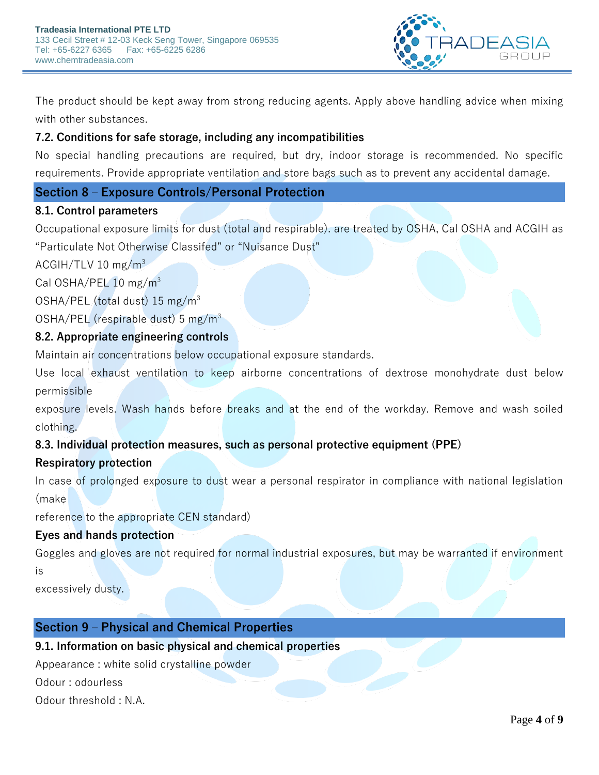

The product should be kept away from strong reducing agents. Apply above handling advice when mixing with other substances.

### **7.2. Conditions for safe storage, including any incompatibilities**

No special handling precautions are required, but dry, indoor storage is recommended. No specific requirements. Provide appropriate ventilation and store bags such as to prevent any accidental damage.

### **Section 8 – Exposure Controls/Personal Protection**

### **8.1. Control parameters**

Occupational exposure limits for dust (total and respirable). are treated by OSHA, Cal OSHA and ACGIH as "Particulate Not Otherwise Classifed" or "Nuisance Dust"

ACGIH/TLV 10 mg/ $m<sup>3</sup>$ 

Cal OSHA/PEL 10 mg/m<sup>3</sup>

OSHA/PEL (total dust) 15 mg/m<sup>3</sup>

OSHA/PEL (respirable dust) 5 mg/m<sup>3</sup>

### **8.2. Appropriate engineering controls**

Maintain air concentrations below occupational exposure standards.

Use local exhaust ventilation to keep airborne concentrations of dextrose monohydrate dust below permissible

exposure levels. Wash hands before breaks and at the end of the workday. Remove and wash soiled clothing.

### **8.3. Individual protection measures, such as personal protective equipment (PPE)**

### **Respiratory protection**

In case of prolonged exposure to dust wear a personal respirator in compliance with national legislation (make

reference to the appropriate CEN standard)

### **Eyes and hands protection**

Goggles and gloves are not required for normal industrial exposures, but may be warranted if environment is

excessively dusty.

### **Section 9 – Physical and Chemical Properties**

### **9.1. Information on basic physical and chemical properties**

Appearance : white solid crystalline powder

Odour : odourless

Odour threshold : N.A.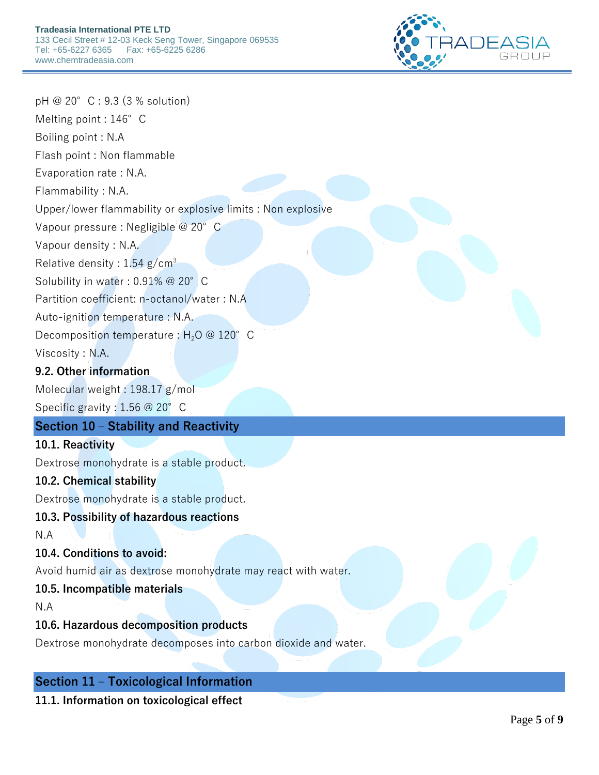

pH @ 20°C : 9.3 (3 % solution) Melting point : 146°C Boiling point : N.A Flash point : Non flammable Evaporation rate : N.A. Flammability : N.A. Upper/lower flammability or explosive limits : Non explosive Vapour pressure : Negligible @ 20°C Vapour density : N.A. Relative density :  $1.54$  g/cm<sup>3</sup> Solubility in water : 0.91% @ 20° C Partition coefficient: n-octanol/water : N.A Auto-ignition temperature : N.A. Decomposition temperature :  $H_2O \n\circ 120^\circ$  C Viscosity : N.A. **9.2. Other information** Molecular weight : 198.17 g/mol Specific gravity : 1.56 @ 20° C **Section 10 – Stability and Reactivity 10.1. Reactivity** Dextrose monohydrate is a stable product. **10.2. Chemical stability** Dextrose monohydrate is a stable product. **10.3. Possibility of hazardous reactions** N.A **10.4. Conditions to avoid:** Avoid humid air as dextrose monohydrate may react with water. **10.5. Incompatible materials** N.A **10.6. Hazardous decomposition products**

Dextrose monohydrate decomposes into carbon dioxide and water.

## **Section 11 – Toxicological Information**

**11.1. Information on toxicological effect**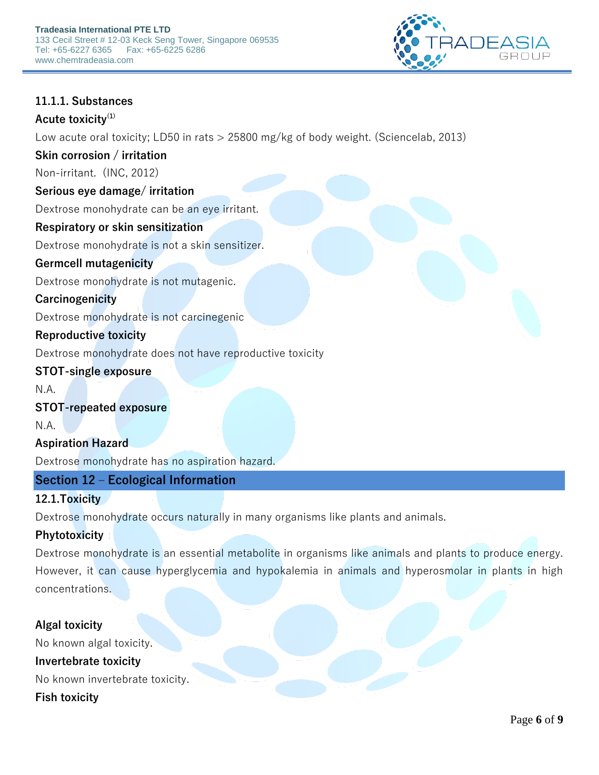

### **11.1.1. Substances**

#### **Acute toxicity(1)**

Low acute oral toxicity; LD50 in rats > 25800 mg/kg of body weight. (Sciencelab, 2013)

### **Skin corrosion / irritation**

Non-irritant. (INC, 2012)

### **Serious eye damage/ irritation**

Dextrose monohydrate can be an eye irritant.

### **Respiratory or skin sensitization**

Dextrose monohydrate is not a skin sensitizer.

### **Germcell mutagenicity**

Dextrose monohydrate is not mutagenic.

### **Carcinogenicity**

Dextrose monohydrate is not carcinegenic

### **Reproductive toxicity**

Dextrose monohydrate does not have reproductive toxicity

### **STOT-single exposure**

N.A.

#### **STOT-repeated exposure**

N.A.

### **Aspiration Hazard**

Dextrose monohydrate has no aspiration hazard.

### **Section 12 – Ecological Information**

#### **12.1.Toxicity**

Dextrose monohydrate occurs naturally in many organisms like plants and animals.

### **Phytotoxicity**

Dextrose monohydrate is an essential metabolite in organisms like animals and plants to produce energy. However, it can cause hyperglycemia and hypokalemia in animals and hyperosmolar in plants in high concentrations.

### **Algal toxicity**

No known algal toxicity. **Invertebrate toxicity** No known invertebrate toxicity.

**Fish toxicity**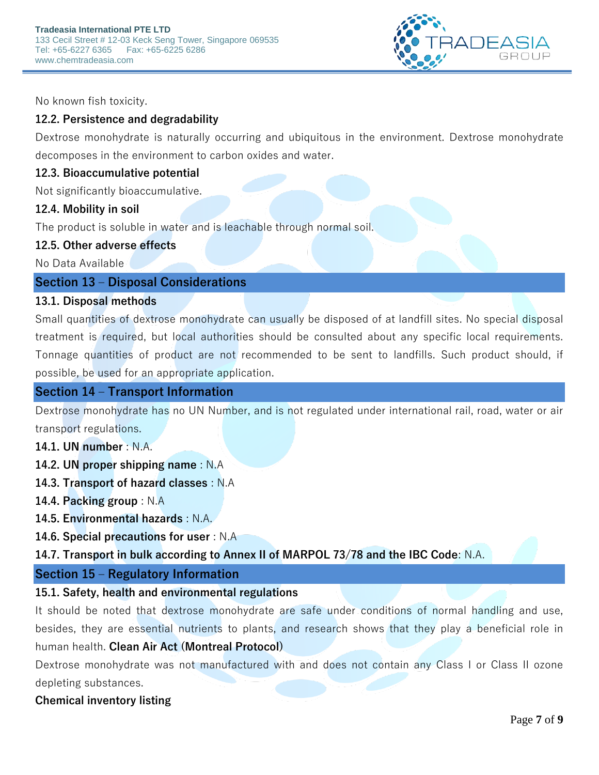

No known fish toxicity.

### **12.2. Persistence and degradability**

Dextrose monohydrate is naturally occurring and ubiquitous in the environment. Dextrose monohydrate decomposes in the environment to carbon oxides and water.

#### **12.3. Bioaccumulative potential**

Not significantly bioaccumulative.

#### **12.4. Mobility in soil**

The product is soluble in water and is leachable through normal soil.

#### **12.5. Other adverse effects**

No Data Available

### **Section 13 – Disposal Considerations**

#### **13.1. Disposal methods**

Small quantities of dextrose monohydrate can usually be disposed of at landfill sites. No special disposal treatment is required, but local authorities should be consulted about any specific local requirements. Tonnage quantities of product are not recommended to be sent to landfills. Such product should, if possible, be used for an appropriate application.

#### **Section 14 – Transport Information**

Dextrose monohydrate has no UN Number, and is not regulated under international rail, road, water or air transport regulations.

- **14.1. UN number** : N.A.
- **14.2. UN proper shipping name** : N.A
- **14.3. Transport of hazard classes** : N.A
- **14.4. Packing group** : N.A
- **14.5. Environmental hazards** : N.A.
- **14.6. Special precautions for user** : N.A

**14.7. Transport in bulk according to Annex II of MARPOL 73/78 and the IBC Code**: N.A.

#### **Section 15 – Regulatory Information**

#### **15.1. Safety, health and environmental regulations**

It should be noted that dextrose monohydrate are safe under conditions of normal handling and use, besides, they are essential nutrients to plants, and research shows that they play a beneficial role in human health. **Clean Air Act (Montreal Protocol)**

Dextrose monohydrate was not manufactured with and does not contain any Class I or Class II ozone depleting substances.

#### **Chemical inventory listing**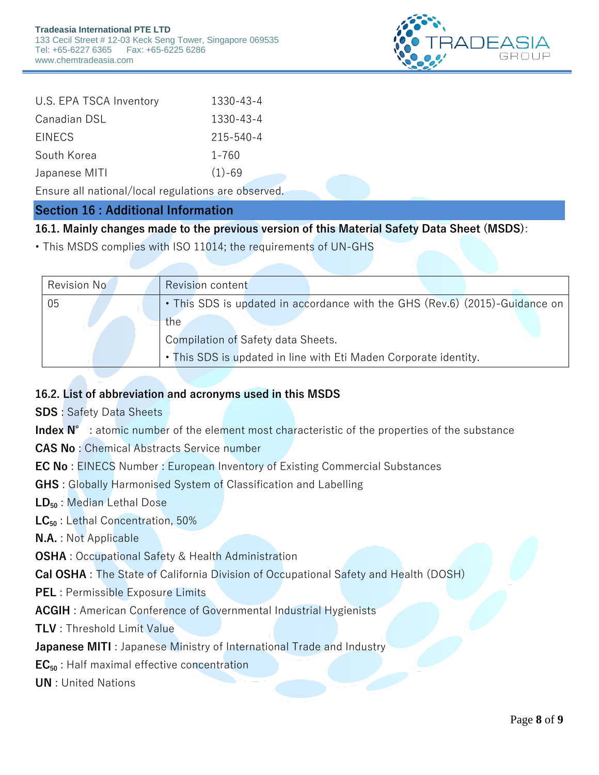

| U.S. EPA TSCA Inventory | 1330-43-4  |
|-------------------------|------------|
| Canadian DSL            | 1330-43-4  |
| <b>EINECS</b>           | 215-540-4  |
| South Korea             | 1-760      |
| Japanese MITI           | $(1) - 69$ |

Ensure all national/local regulations are observed.

### **Section 16 : Additional Information**

**16.1. Mainly changes made to the previous version of this Material Safety Data Sheet (MSDS)**:

• This MSDS complies with ISO 11014; the requirements of UN-GHS

| <b>Revision No</b> | Revision content                                                            |
|--------------------|-----------------------------------------------------------------------------|
| 05                 | • This SDS is updated in accordance with the GHS (Rev.6) (2015)-Guidance on |
|                    | the                                                                         |
|                    | Compilation of Safety data Sheets.                                          |
|                    | • This SDS is updated in line with Eti Maden Corporate identity.            |

### **16.2. List of abbreviation and acronyms used in this MSDS**

**SDS** : Safety Data Sheets

Index N° : atomic number of the element most characteristic of the properties of the substance

**CAS No** : Chemical Abstracts Service number

**EC No** : EINECS Number : European Inventory of Existing Commercial Substances

**GHS** : Globally Harmonised System of Classification and Labelling

**LD<sup>50</sup>** : Median Lethal Dose

**LC<sup>50</sup>** : Lethal Concentration, 50%

**N.A.** : Not Applicable

**OSHA** : Occupational Safety & Health Administration

**Cal OSHA** : The State of California Division of Occupational Safety and Health (DOSH)

**PEL** : Permissible Exposure Limits

**ACGIH** : American Conference of Governmental Industrial Hygienists

**TLV** : Threshold Limit Value

**Japanese MITI** : Japanese Ministry of International Trade and Industry

**EC<sup>50</sup>** : Half maximal effective concentration

**UN** : United Nations